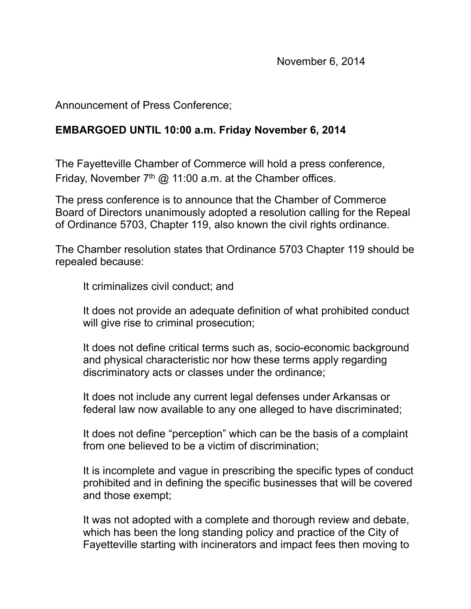Announcement of Press Conference;

## **EMBARGOED UNTIL 10:00 a.m. Friday November 6, 2014**

The Fayetteville Chamber of Commerce will hold a press conference, Friday, November  $7<sup>th</sup>$  @ 11:00 a.m. at the Chamber offices.

The press conference is to announce that the Chamber of Commerce Board of Directors unanimously adopted a resolution calling for the Repeal of Ordinance 5703, Chapter 119, also known the civil rights ordinance.

The Chamber resolution states that Ordinance 5703 Chapter 119 should be repealed because:

It criminalizes civil conduct; and

It does not provide an adequate definition of what prohibited conduct will give rise to criminal prosecution;

It does not define critical terms such as, socio-economic background and physical characteristic nor how these terms apply regarding discriminatory acts or classes under the ordinance;

It does not include any current legal defenses under Arkansas or federal law now available to any one alleged to have discriminated;

It does not define "perception" which can be the basis of a complaint from one believed to be a victim of discrimination;

It is incomplete and vague in prescribing the specific types of conduct prohibited and in defining the specific businesses that will be covered and those exempt;

It was not adopted with a complete and thorough review and debate, which has been the long standing policy and practice of the City of Fayetteville starting with incinerators and impact fees then moving to